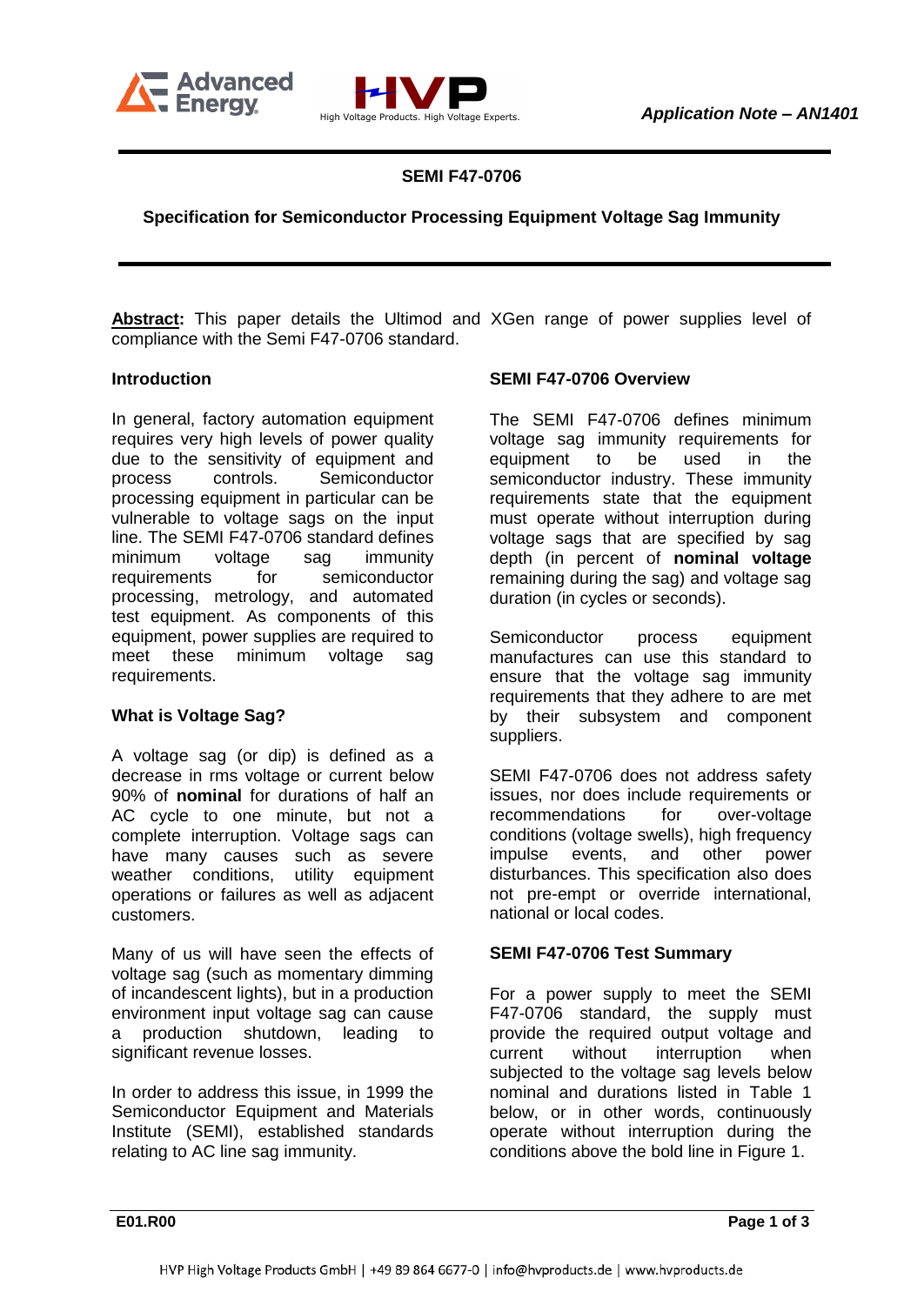



**SEMI F47-0706**

**Specification for Semiconductor Processing Equipment Voltage Sag Immunity**

**Abstract:** This paper details the Ultimod and XGen range of power supplies level of compliance with the Semi F47-0706 standard.

### **Introduction**

In general, factory automation equipment requires very high levels of power quality due to the sensitivity of equipment and process controls. Semiconductor processing equipment in particular can be vulnerable to voltage sags on the input line. The SEMI F47-0706 standard defines minimum voltage sag immunity requirements for semiconductor processing, metrology, and automated test equipment. As components of this equipment, power supplies are required to meet these minimum voltage sag requirements.

#### **What is Voltage Sag?**

A voltage sag (or dip) is defined as a decrease in rms voltage or current below 90% of **nominal** for durations of half an AC cycle to one minute, but not a complete interruption. Voltage sags can have many causes such as severe weather conditions, utility equipment operations or failures as well as adjacent customers.

Many of us will have seen the effects of voltage sag (such as momentary dimming of incandescent lights), but in a production environment input voltage sag can cause a production shutdown, leading to significant revenue losses.

In order to address this issue, in 1999 the Semiconductor Equipment and Materials Institute (SEMI), established standards relating to AC line sag immunity.

### **SEMI F47-0706 Overview**

The SEMI F47-0706 defines minimum voltage sag immunity requirements for equipment to be used in the semiconductor industry. These immunity requirements state that the equipment must operate without interruption during voltage sags that are specified by sag depth (in percent of **nominal voltage** remaining during the sag) and voltage sag duration (in cycles or seconds).

Semiconductor process equipment manufactures can use this standard to ensure that the voltage sag immunity requirements that they adhere to are met by their subsystem and component suppliers.

SEMI F47-0706 does not address safety issues, nor does include requirements or recommendations for over-voltage conditions (voltage swells), high frequency impulse events, and other power disturbances. This specification also does not pre-empt or override international, national or local codes.

## **SEMI F47-0706 Test Summary**

For a power supply to meet the SEMI F47-0706 standard, the supply must provide the required output voltage and current without interruption when subjected to the voltage sag levels below nominal and durations listed in Table 1 below, or in other words, continuously operate without interruption during the conditions above the bold line in Figure 1.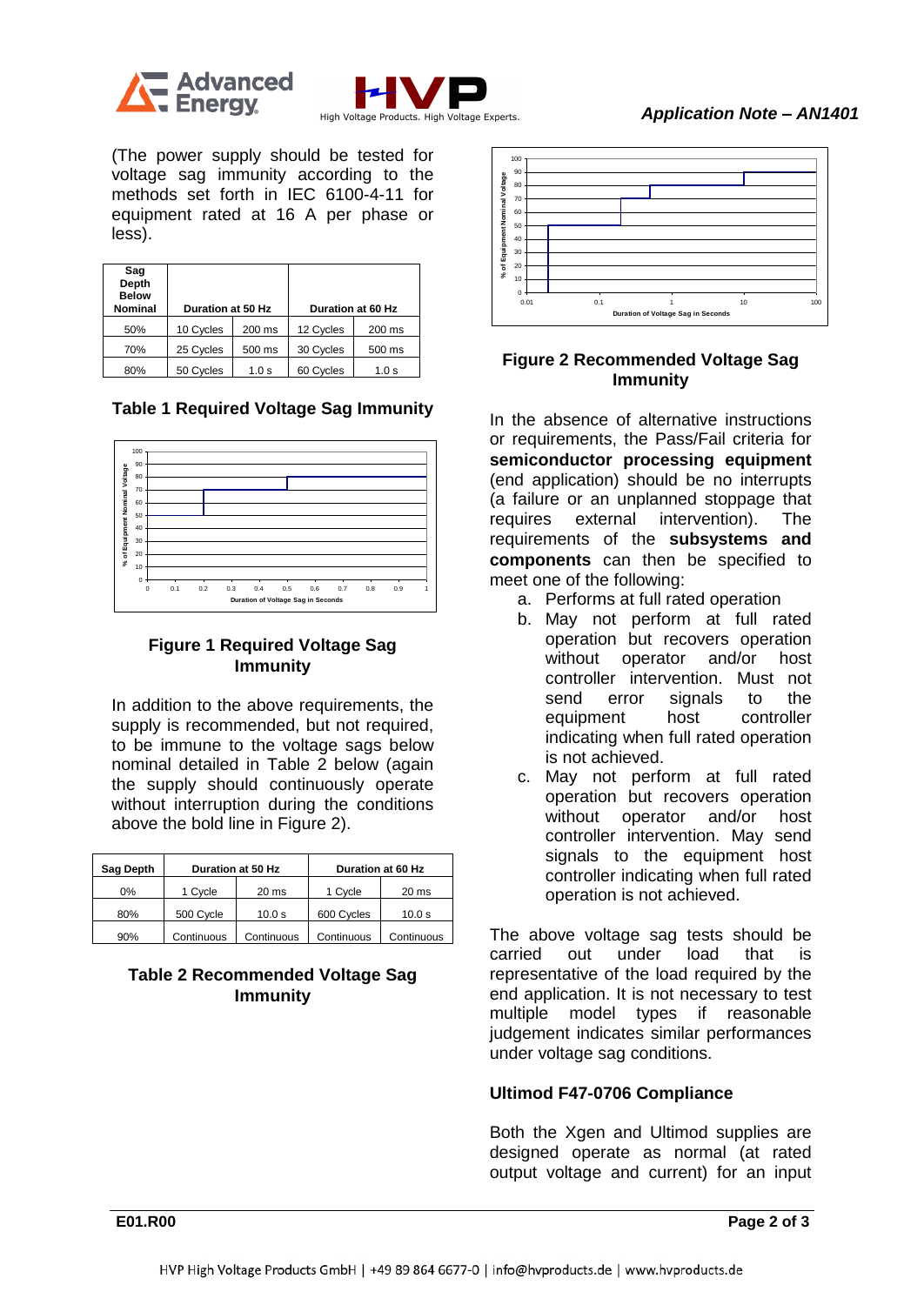



(The power supply should be tested for voltage sag immunity according to the methods set forth in IEC 6100-4-11 for equipment rated at 16 A per phase or less).

| Sag<br>Depth<br><b>Below</b><br><b>Nominal</b> | Duration at 50 Hz |        | Duration at 60 Hz |        |
|------------------------------------------------|-------------------|--------|-------------------|--------|
| 50%                                            | 10 Cycles         | 200 ms | 12 Cycles         | 200 ms |
| 70%                                            | 25 Cycles         | 500 ms | 30 Cycles         | 500 ms |
| 80%                                            | 50 Cycles         | 1.0 s  | 60 Cycles         | 1.0 s  |

**Table 1 Required Voltage Sag Immunity**



## **Figure 1 Required Voltage Sag Immunity**

In addition to the above requirements, the supply is recommended, but not required, to be immune to the voltage sags below nominal detailed in Table 2 below (again the supply should continuously operate without interruption during the conditions above the bold line in Figure 2).

| Sag Depth | Duration at 50 Hz |                  | Duration at 60 Hz |                  |
|-----------|-------------------|------------------|-------------------|------------------|
| 0%        | 1 Cycle           | 20 <sub>ms</sub> | 1 Cycle           | 20 <sub>ms</sub> |
| 80%       | 500 Cycle         | 10.0 s           | 600 Cycles        | 10.0 s           |
| 90%       | Continuous        | Continuous       | Continuous        | Continuous       |

# **Table 2 Recommended Voltage Sag Immunity**



# **Figure 2 Recommended Voltage Sag Immunity**

In the absence of alternative instructions or requirements, the Pass/Fail criteria for **semiconductor processing equipment**  (end application) should be no interrupts (a failure or an unplanned stoppage that requires external intervention). The requirements of the **subsystems and components** can then be specified to meet one of the following:

- a. Performs at full rated operation
- b. May not perform at full rated operation but recovers operation without operator and/or host controller intervention. Must not send error signals to the equipment host controller indicating when full rated operation is not achieved.
- c. May not perform at full rated operation but recovers operation without operator and/or host controller intervention. May send signals to the equipment host controller indicating when full rated operation is not achieved.

The above voltage sag tests should be carried out under load that is representative of the load required by the end application. It is not necessary to test multiple model types if reasonable judgement indicates similar performances under voltage sag conditions.

# **Ultimod F47-0706 Compliance**

Both the Xgen and Ultimod supplies are designed operate as normal (at rated output voltage and current) for an input